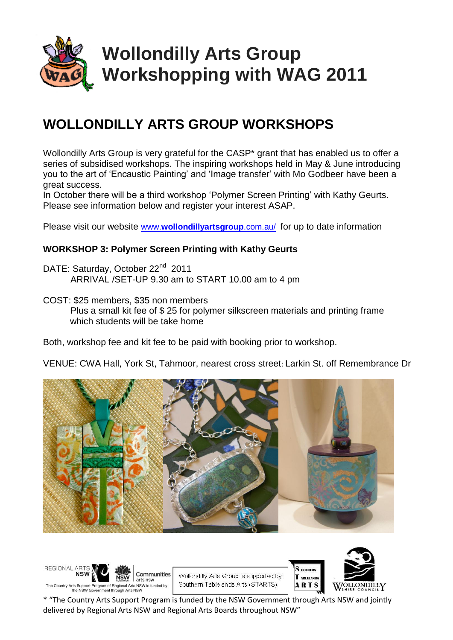

# **Wollondilly Arts Group Workshopping with WAG 2011**

### **WOLLONDILLY ARTS GROUP WORKSHOPS**

Wollondilly Arts Group is very grateful for the CASP\* grant that has enabled us to offer a series of subsidised workshops. The inspiring workshops held in May & June introducing you to the art of 'Encaustic Painting' and 'Image transfer' with Mo Godbeer have been a great success.

In October there will be a third workshop 'Polymer Screen Printing' with Kathy Geurts. Please see information below and register your interest ASAP.

Please visit our website www.**[wollondillyartsgroup](http://www.wollondillyartsgroup.com.au/)**.com.au/ for up to date information

#### **WORKSHOP 3: Polymer Screen Printing with Kathy Geurts**

DATE: Saturday, October 22<sup>nd</sup> 2011 ARRIVAL /SET-UP 9.30 am to START 10.00 am to 4 pm

COST: \$25 members, \$35 non members Plus a small kit fee of \$ 25 for polymer silkscreen materials and printing frame which students will be take home

Both, workshop fee and kit fee to be paid with booking prior to workshop.

VENUE: CWA Hall, York St, Tahmoor, nearest cross street: Larkin St. off Remembrance Dr



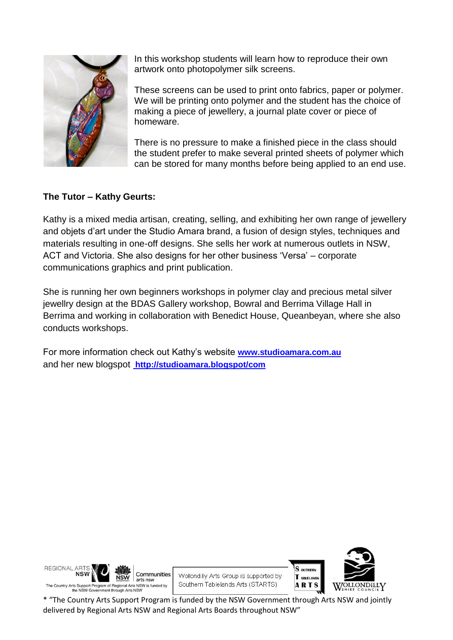

In this workshop students will learn how to reproduce their own artwork onto photopolymer silk screens.

These screens can be used to print onto fabrics, paper or polymer. We will be printing onto polymer and the student has the choice of making a piece of jewellery, a journal plate cover or piece of homeware.

There is no pressure to make a finished piece in the class should the student prefer to make several printed sheets of polymer which can be stored for many months before being applied to an end use.

#### **The Tutor – Kathy Geurts:**

Kathy is a mixed media artisan, creating, selling, and exhibiting her own range of jewellery and objets d'art under the Studio Amara brand, a fusion of design styles, techniques and materials resulting in one-off designs. She sells her work at numerous outlets in NSW, ACT and Victoria. She also designs for her other business 'Versa' – corporate communications graphics and print publication.

She is running her own beginners workshops in polymer clay and precious metal silver jewellry design at the BDAS Gallery workshop, Bowral and Berrima Village Hall in Berrima and working in collaboration with Benedict House, Queanbeyan, where she also conducts workshops.

For more information check out Kathy's website **[www.studioamara.com.au](http://www.studioamara.com.au/)** and her new blogspot **<http://studioamara.blogspot/com>**



Communities Wollondilly Arts Group is supported by Southern Tablelands Arts (STARTS)

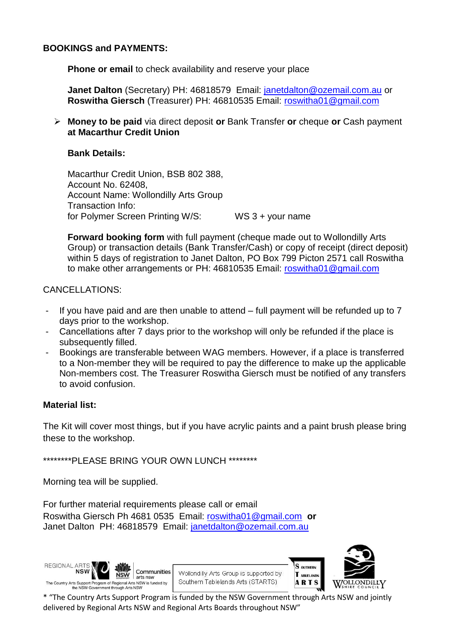#### **BOOKINGS and PAYMENTS:**

**Phone or email to check availability and reserve your place** 

**Janet Dalton** (Secretary) PH: 46818579 Email: [janetdalton@ozemail.com.au](mailto:janetdalton@ozemail.com.au) or **Roswitha Giersch** (Treasurer) PH: 46810535 Email: [roswitha01@gmail.com](mailto:roswitha01@gmail.com)

 **Money to be paid** via direct deposit **or** Bank Transfer **or** cheque **or** Cash payment **at Macarthur Credit Union**

#### **Bank Details:**

Macarthur Credit Union, BSB 802 388, Account No. 62408, Account Name: Wollondilly Arts Group Transaction Info: for Polymer Screen Printing W/S: WS 3 + your name

**Forward booking form** with full payment (cheque made out to Wollondilly Arts Group) or transaction details (Bank Transfer/Cash) or copy of receipt (direct deposit) within 5 days of registration to Janet Dalton, PO Box 799 Picton 2571 call Roswitha to make other arrangements or PH: 46810535 Email: [roswitha01@gmail.com](mailto:roswitha01@gmail.com)

CANCELLATIONS:

- If you have paid and are then unable to attend full payment will be refunded up to 7 days prior to the workshop.
- Cancellations after 7 days prior to the workshop will only be refunded if the place is subsequently filled.
- Bookings are transferable between WAG members. However, if a place is transferred to a Non-member they will be required to pay the difference to make up the applicable Non-members cost. The Treasurer Roswitha Giersch must be notified of any transfers to avoid confusion.

#### **Material list:**

The Kit will cover most things, but if you have acrylic paints and a paint brush please bring these to the workshop.

\*\*\*\*\*\*\*\*PLEASE BRING YOUR OWN LUNCH \*\*\*\*\*\*\*\*

Morning tea will be supplied.

For further material requirements please call or email Roswitha Giersch Ph 4681 0535 Email: [roswitha01@gmail.com](mailto:roswitha01@gmail.com) **or** Janet Dalton PH: 46818579 Email: [janetdalton@ozemail.com.au](mailto:janetdalton@ozemail.com.au)



Wollondilly Arts Group is supported by Southern Tablelands Arts (STARTS)



S OUTHERN

T ABLELANDS

**ARTS**